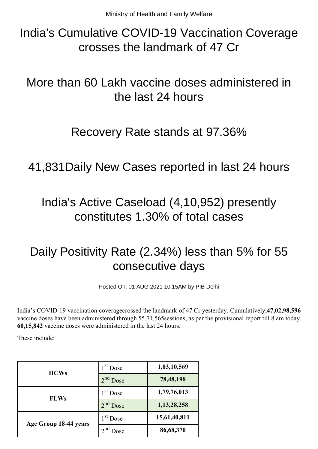India's Cumulative COVID-19 Vaccination Coverage crosses the landmark of 47 Cr

More than 60 Lakh vaccine doses administered in the last 24 hours

## Recovery Rate stands at 97.36%

41,831Daily New Cases reported in last 24 hours

## India's Active Caseload (4,10,952) presently constitutes 1.30% of total cases

# Daily Positivity Rate (2.34%) less than 5% for 55 consecutive days

Posted On: 01 AUG 2021 10:15AM by PIB Delhi

India's COVID-19 vaccination coveragecrossed the landmark of 47 Cr yesterday. Cumulatively,**47,02,98,596** vaccine doses have been administered through 55,71,565sessions, as per the provisional report till 8 am today. **60,15,842** vaccine doses were administered in the last 24 hours.

These include:

| <b>HCWs</b>           | $1st$ Dose | 1,03,10,569  |
|-----------------------|------------|--------------|
|                       | $2nd$ Dose | 78,48,198    |
| <b>FLWs</b>           | $1st$ Dose | 1,79,76,013  |
|                       | $2nd$ Dose | 1,13,28,258  |
| Age Group 18-44 years | $1st$ Dose | 15,61,40,811 |
|                       | )ose       | 86,68,370    |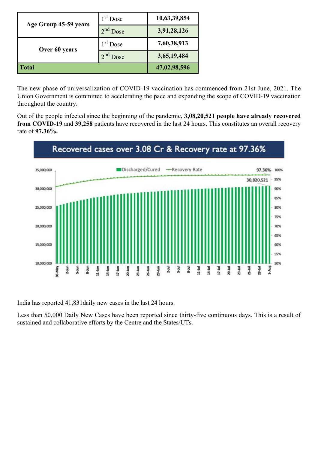| Age Group 45-59 years | $1st$ Dose       | 10,63,39,854 |
|-----------------------|------------------|--------------|
|                       | $2nd$ Dose       | 3,91,28,126  |
| Over 60 years         | $1st$ Dose       | 7,60,38,913  |
|                       | $2^{nd}$<br>Dose | 3,65,19,484  |
| <b>Total</b>          |                  | 47,02,98,596 |

The new phase of universalization of COVID-19 vaccination has commenced from 21st June, 2021. The Union Government is committed to accelerating the pace and expanding the scope of COVID-19 vaccination throughout the country.

Out of the people infected since the beginning of the pandemic, **3,08,20,521 people have already recovered from COVID-19** and **39,258** patients have recovered in the last 24 hours. This constitutes an overall recovery rate of **97.36%.**



India has reported 41,831daily new cases in the last 24 hours.

Less than 50,000 Daily New Cases have been reported since thirty-five continuous days. This is a result of sustained and collaborative efforts by the Centre and the States/UTs.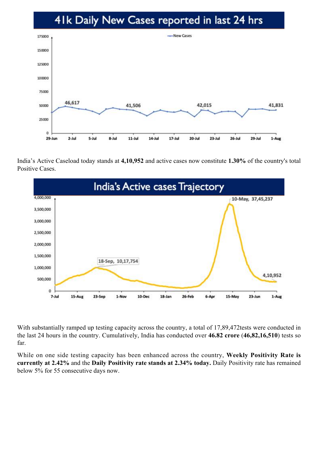## 41k Daily New Cases reported in last 24 hrs



India's Active Caseload today stands at **4,10,952** and active cases now constitute **1.30%** of the country's total Positive Cases.



With substantially ramped up testing capacity across the country, a total of 17,89,472tests were conducted in the last 24 hours in the country. Cumulatively, India has conducted over **46.82 crore** (**46,82,16,510**) tests so far.

While on one side testing capacity has been enhanced across the country, **Weekly Positivity Rate is currently at 2.42%** and the **Daily Positivity rate stands at 2.34% today.** Daily Positivity rate has remained below 5% for 55 consecutive days now.